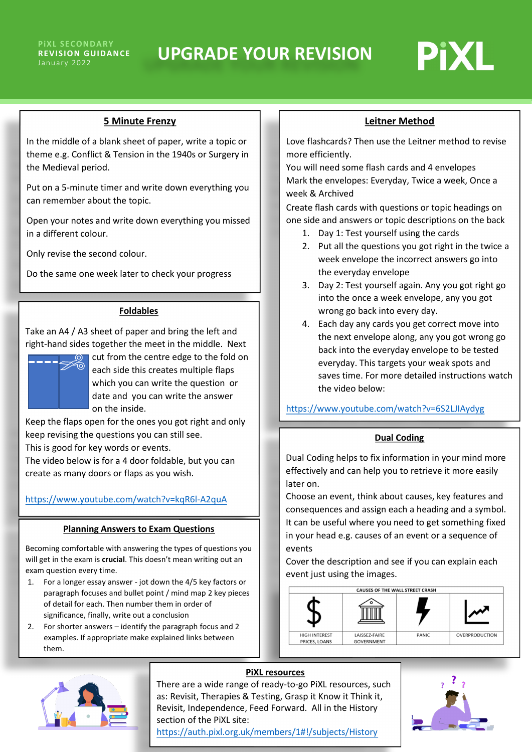

## **5 Minute Frenzy**

In the middle of a blank sheet of paper, write a topic or theme e.g. Conflict & Tension in the 1940s or Surgery in the Medieval period.

Put on a 5-minute timer and write down everything you can remember about the topic.

Open your notes and write down everything you missed in a different colour.

Only revise the second colour.

Do the same one week later to check your progress

## **Foldables**

Take an A4 / A3 sheet of paper and bring the left and right-hand sides together the meet in the middle. Next



 cut from the centre edge to the fold on each side this creates multiple flaps which you can write the question or date and you can write the answer on the inside.

Keep the flaps open for the ones you got right and only keep revising the questions you can still see. This is good for key words or events.

The video below is for a 4 door foldable, but you can create as many doors or flaps as you wish.

# <https://www.youtube.com/watch?v=kqR6l-A2quA>

### **Planning Answers to Exam Questions**

Becoming comfortable with answering the types of questions you will get in the exam is **crucial**. This doesn't mean writing out an exam question every time.

- 1. For a longer essay answer jot down the 4/5 key factors or paragraph focuses and bullet point / mind map 2 key pieces of detail for each. Then number them in order of significance, finally, write out a conclusion
- 2. For shorter answers identify the paragraph focus and 2 examples. If appropriate make explained links between them.

**Leitner Method**

Love flashcards? Then use the Leitner method to revise more efficiently.

You will need some flash cards and 4 envelopes Mark the envelopes: Everyday, Twice a week, Once a week & Archived

Create flash cards with questions or topic headings on one side and answers or topic descriptions on the back

- 1. Day 1: Test yourself using the cards
- 2. Put all the questions you got right in the twice a week envelope the incorrect answers go into the everyday envelope
- 3. Day 2: Test yourself again. Any you got right go into the once a week envelope, any you got wrong go back into every day.
- 4. Each day any cards you get correct move into the next envelope along, any you got wrong go back into the everyday envelope to be tested everyday. This targets your weak spots and saves time. For more detailed instructions watch the video below:

<https://www.youtube.com/watch?v=6S2LJIAydyg>

## **Dual Coding**

Dual Coding helps to fix information in your mind more effectively and can help you to retrieve it more easily later on.

Choose an event, think about causes, key features and consequences and assign each a heading and a symbol. It can be useful where you need to get something fixed in your head e.g. causes of an event or a sequence of events

Cover the description and see if you can explain each event just using the images.





## **PiXL resources**

There are a wide range of ready-to-go PiXL resources, such as: Revisit, Therapies & Testing, Grasp it Know it Think it, Revisit, Independence, Feed Forward. All in the History section of the PiXL site: <https://auth.pixl.org.uk/members/1#!/subjects/History>